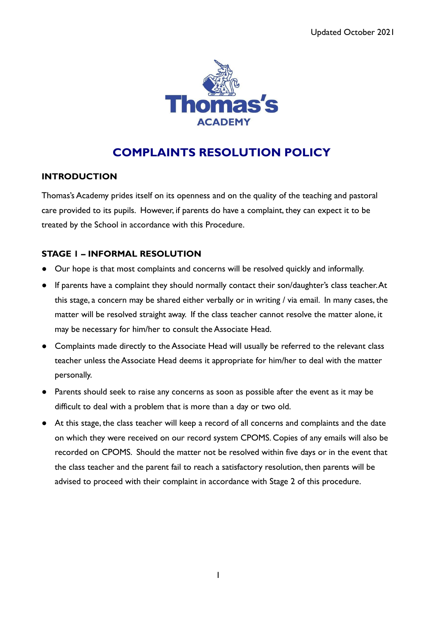

# **COMPLAINTS RESOLUTION POLICY**

# **INTRODUCTION**

Thomas's Academy prides itself on its openness and on the quality of the teaching and pastoral care provided to its pupils. However, if parents do have a complaint, they can expect it to be treated by the School in accordance with this Procedure.

# **STAGE 1 – INFORMAL RESOLUTION**

- Our hope is that most complaints and concerns will be resolved quickly and informally.
- If parents have a complaint they should normally contact their son/daughter's class teacher.At this stage, a concern may be shared either verbally or in writing / via email. In many cases, the matter will be resolved straight away. If the class teacher cannot resolve the matter alone, it may be necessary for him/her to consult the Associate Head.
- Complaints made directly to the Associate Head will usually be referred to the relevant class teacher unless the Associate Head deems it appropriate for him/her to deal with the matter personally.
- Parents should seek to raise any concerns as soon as possible after the event as it may be difficult to deal with a problem that is more than a day or two old.
- At this stage, the class teacher will keep a record of all concerns and complaints and the date on which they were received on our record system CPOMS. Copies of any emails will also be recorded on CPOMS. Should the matter not be resolved within five days or in the event that the class teacher and the parent fail to reach a satisfactory resolution, then parents will be advised to proceed with their complaint in accordance with Stage 2 of this procedure.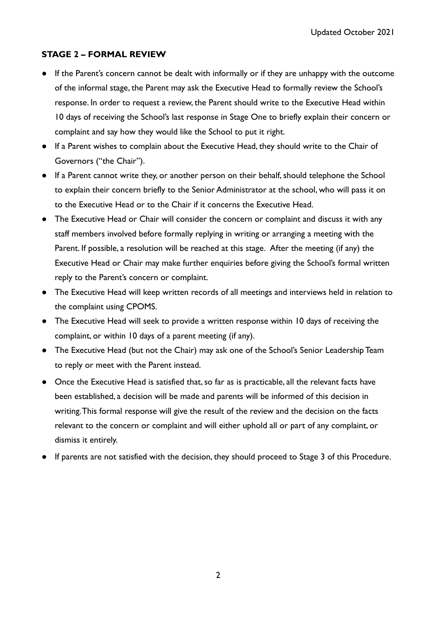## **STAGE 2 – FORMAL REVIEW**

- **●** If the Parent's concern cannot be dealt with informally or if they are unhappy with the outcome of the informal stage, the Parent may ask the Executive Head to formally review the School's response. In order to request a review, the Parent should write to the Executive Head within 10 days of receiving the School's last response in Stage One to briefly explain their concern or complaint and say how they would like the School to put it right.
- **●** If a Parent wishes to complain about the Executive Head, they should write to the Chair of Governors ("the Chair").
- **●** If a Parent cannot write they, or another person on their behalf, should telephone the School to explain their concern briefly to the Senior Administrator at the school, who will pass it on to the Executive Head or to the Chair if it concerns the Executive Head.
- **●** The Executive Head or Chair will consider the concern or complaint and discuss it with any staff members involved before formally replying in writing or arranging a meeting with the Parent. If possible, a resolution will be reached at this stage. After the meeting (if any) the Executive Head or Chair may make further enquiries before giving the School's formal written reply to the Parent's concern or complaint.
- **●** The Executive Head will keep written records of all meetings and interviews held in relation to the complaint using CPOMS.
- The Executive Head will seek to provide a written response within 10 days of receiving the complaint, or within 10 days of a parent meeting (if any).
- **●** The Executive Head (but not the Chair) may ask one of the School's Senior Leadership Team to reply or meet with the Parent instead.
- Once the Executive Head is satisfied that, so far as is practicable, all the relevant facts have been established, a decision will be made and parents will be informed of this decision in writing.This formal response will give the result of the review and the decision on the facts relevant to the concern or complaint and will either uphold all or part of any complaint, or dismiss it entirely.
- If parents are not satisfied with the decision, they should proceed to Stage 3 of this Procedure.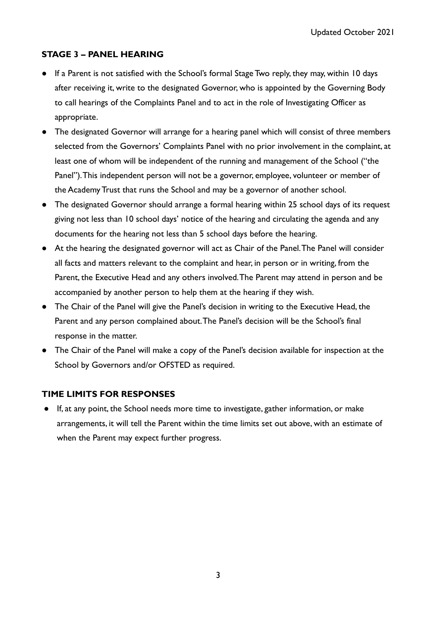# **STAGE 3 – PANEL HEARING**

- If a Parent is not satisfied with the School's formal Stage Two reply, they may, within 10 days after receiving it, write to the designated Governor, who is appointed by the Governing Body to call hearings of the Complaints Panel and to act in the role of Investigating Officer as appropriate.
- The designated Governor will arrange for a hearing panel which will consist of three members selected from the Governors' Complaints Panel with no prior involvement in the complaint, at least one of whom will be independent of the running and management of the School ("the Panel").This independent person will not be a governor, employee, volunteer or member of the Academy Trust that runs the School and may be a governor of another school.
- The designated Governor should arrange a formal hearing within 25 school days of its request giving not less than 10 school days' notice of the hearing and circulating the agenda and any documents for the hearing not less than 5 school days before the hearing.
- At the hearing the designated governor will act as Chair of the Panel.The Panel will consider all facts and matters relevant to the complaint and hear, in person or in writing, from the Parent, the Executive Head and any others involved.The Parent may attend in person and be accompanied by another person to help them at the hearing if they wish.
- The Chair of the Panel will give the Panel's decision in writing to the Executive Head, the Parent and any person complained about.The Panel's decision will be the School's final response in the matter.
- The Chair of the Panel will make a copy of the Panel's decision available for inspection at the School by Governors and/or OFSTED as required.

#### **TIME LIMITS FOR RESPONSES**

If, at any point, the School needs more time to investigate, gather information, or make arrangements, it will tell the Parent within the time limits set out above, with an estimate of when the Parent may expect further progress.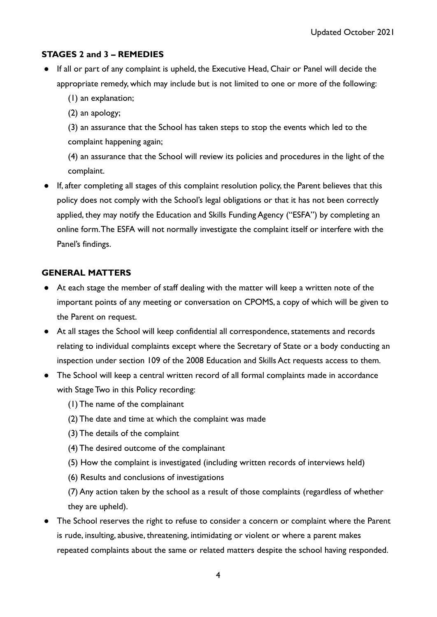# **STAGES 2 and 3 – REMEDIES**

- If all or part of any complaint is upheld, the Executive Head, Chair or Panel will decide the appropriate remedy, which may include but is not limited to one or more of the following:
	- (1) an explanation;
	- (2) an apology;
	- (3) an assurance that the School has taken steps to stop the events which led to the complaint happening again;

(4) an assurance that the School will review its policies and procedures in the light of the complaint.

● If, after completing all stages of this complaint resolution policy, the Parent believes that this policy does not comply with the School's legal obligations or that it has not been correctly applied, they may notify the Education and Skills Funding Agency ("ESFA") by completing an online form.The ESFA will not normally investigate the complaint itself or interfere with the Panel's findings.

## **GENERAL MATTERS**

- At each stage the member of staff dealing with the matter will keep a written note of the important points of any meeting or conversation on CPOMS, a copy of which will be given to the Parent on request.
- At all stages the School will keep confidential all correspondence, statements and records relating to individual complaints except where the Secretary of State or a body conducting an inspection under section 109 of the 2008 Education and Skills Act requests access to them.
- The School will keep a central written record of all formal complaints made in accordance with Stage Two in this Policy recording:
	- (1) The name of the complainant
	- (2) The date and time at which the complaint was made
	- (3) The details of the complaint
	- (4) The desired outcome of the complainant
	- (5) How the complaint is investigated (including written records of interviews held)
	- (6) Results and conclusions of investigations

(7) Any action taken by the school as a result of those complaints (regardless of whether they are upheld).

● The School reserves the right to refuse to consider a concern or complaint where the Parent is rude, insulting, abusive, threatening, intimidating or violent or where a parent makes repeated complaints about the same or related matters despite the school having responded.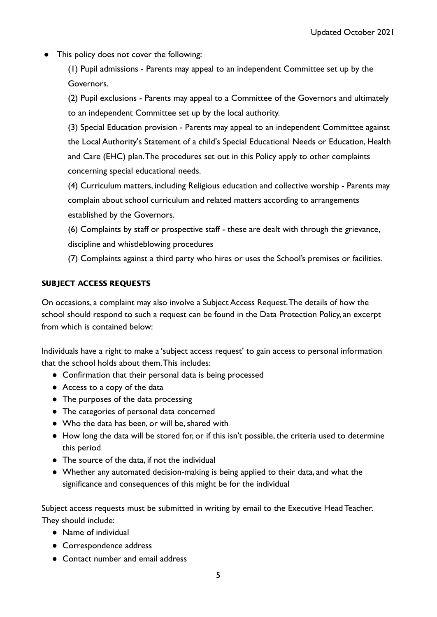This policy does not cover the following:

(1) Pupil admissions - Parents may appeal to an independent Committee set up by the Governors.

(2) Pupil exclusions - Parents may appeal to a Committee of the Governors and ultimately to an independent Committee set up by the local authority.

(3) Special Education provision - Parents may appeal to an independent Committee against the Local Authority's Statement of a child's Special Educational Needs or Education, Health and Care (EHC) plan.The procedures set out in this Policy apply to other complaints concerning special educational needs.

(4) Curriculum matters, including Religious education and collective worship - Parents may complain about school curriculum and related matters according to arrangements established by the Governors.

(6) Complaints by staff or prospective staff - these are dealt with through the grievance, discipline and whistleblowing procedures

(7) Complaints against a third party who hires or uses the School's premises or facilities.

#### SUBJECT ACCESS REQUESTS

On occasions, a complaint may also involve a Subject Access Request.The details of how the school should respond to such a request can be found in the Data Protection Policy, an excerpt from which is contained below:

Individuals have a right to make a 'subject access request' to gain access to personal information that the school holds about them.This includes:

- Confirmation that their personal data is being processed
- Access to a copy of the data
- The purposes of the data processing
- The categories of personal data concerned
- Who the data has been, or will be, shared with
- How long the data will be stored for, or if this isn't possible, the criteria used to determine this period
- The source of the data, if not the individual
- Whether any automated decision-making is being applied to their data, and what the significance and consequences of this might be for the individual

Subject access requests must be submitted in writing by email to the Executive Head Teacher. They should include:

- Name of individual
- Correspondence address
- Contact number and email address